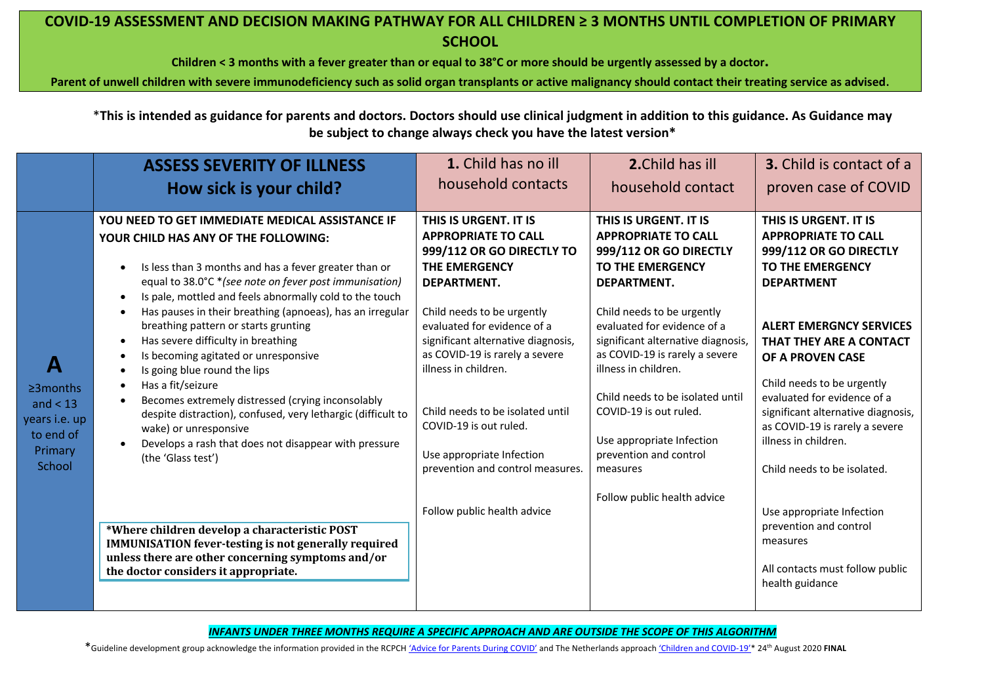**Children < 3 months with a fever greater than or equal to 38°C or more should be urgently assessed by a doctor.**

**Parent of unwell children with severe immunodeficiency such as solid organ transplants or active malignancy should contact their treating service as advised**.

\***This is intended as guidance for parents and doctors. Doctors should use clinical judgment in addition to this guidance. As Guidance may be subject to change always check you have the latest version\***

|                                                                                       | <b>ASSESS SEVERITY OF ILLNESS</b>                                                                                                                                                                                                                                                                                                                                                                                                                                                                                                                                                                                                                                                                                                          | 1. Child has no ill                                                                                                                                                                                                                                                                                                                                                                                                 | 2. Child has ill                                                                                                                                                                                                                                                                                                                                                                                                                                     | 3. Child is contact of a                                                                                                                                                                                                                                                                                                                                                                            |
|---------------------------------------------------------------------------------------|--------------------------------------------------------------------------------------------------------------------------------------------------------------------------------------------------------------------------------------------------------------------------------------------------------------------------------------------------------------------------------------------------------------------------------------------------------------------------------------------------------------------------------------------------------------------------------------------------------------------------------------------------------------------------------------------------------------------------------------------|---------------------------------------------------------------------------------------------------------------------------------------------------------------------------------------------------------------------------------------------------------------------------------------------------------------------------------------------------------------------------------------------------------------------|------------------------------------------------------------------------------------------------------------------------------------------------------------------------------------------------------------------------------------------------------------------------------------------------------------------------------------------------------------------------------------------------------------------------------------------------------|-----------------------------------------------------------------------------------------------------------------------------------------------------------------------------------------------------------------------------------------------------------------------------------------------------------------------------------------------------------------------------------------------------|
|                                                                                       | How sick is your child?                                                                                                                                                                                                                                                                                                                                                                                                                                                                                                                                                                                                                                                                                                                    | household contacts                                                                                                                                                                                                                                                                                                                                                                                                  | household contact                                                                                                                                                                                                                                                                                                                                                                                                                                    | proven case of COVID                                                                                                                                                                                                                                                                                                                                                                                |
| A<br>$\geq$ 3 months<br>and $<$ 13<br>years i.e. up<br>to end of<br>Primary<br>School | YOU NEED TO GET IMMEDIATE MEDICAL ASSISTANCE IF<br>YOUR CHILD HAS ANY OF THE FOLLOWING:<br>Is less than 3 months and has a fever greater than or<br>equal to 38.0°C *(see note on fever post immunisation)<br>Is pale, mottled and feels abnormally cold to the touch<br>Has pauses in their breathing (apnoeas), has an irregular<br>breathing pattern or starts grunting<br>Has severe difficulty in breathing<br>Is becoming agitated or unresponsive<br>Is going blue round the lips<br>Has a fit/seizure<br>Becomes extremely distressed (crying inconsolably<br>despite distraction), confused, very lethargic (difficult to<br>wake) or unresponsive<br>Develops a rash that does not disappear with pressure<br>(the 'Glass test') | THIS IS URGENT. IT IS<br><b>APPROPRIATE TO CALL</b><br>999/112 OR GO DIRECTLY TO<br><b>THE EMERGENCY</b><br>DEPARTMENT.<br>Child needs to be urgently<br>evaluated for evidence of a<br>significant alternative diagnosis,<br>as COVID-19 is rarely a severe<br>illness in children.<br>Child needs to be isolated until<br>COVID-19 is out ruled.<br>Use appropriate Infection<br>prevention and control measures. | THIS IS URGENT. IT IS<br><b>APPROPRIATE TO CALL</b><br>999/112 OR GO DIRECTLY<br><b>TO THE EMERGENCY</b><br>DEPARTMENT.<br>Child needs to be urgently<br>evaluated for evidence of a<br>significant alternative diagnosis,<br>as COVID-19 is rarely a severe<br>illness in children.<br>Child needs to be isolated until<br>COVID-19 is out ruled.<br>Use appropriate Infection<br>prevention and control<br>measures<br>Follow public health advice | THIS IS URGENT. IT IS<br><b>APPROPRIATE TO CALL</b><br>999/112 OR GO DIRECTLY<br>TO THE EMERGENCY<br><b>DEPARTMENT</b><br><b>ALERT EMERGNCY SERVICES</b><br>THAT THEY ARE A CONTACT<br>OF A PROVEN CASE<br>Child needs to be urgently<br>evaluated for evidence of a<br>significant alternative diagnosis,<br>as COVID-19 is rarely a severe<br>illness in children.<br>Child needs to be isolated. |
|                                                                                       | *Where children develop a characteristic POST<br><b>IMMUNISATION fever-testing is not generally required</b><br>unless there are other concerning symptoms and/or<br>the doctor considers it appropriate.                                                                                                                                                                                                                                                                                                                                                                                                                                                                                                                                  | Follow public health advice                                                                                                                                                                                                                                                                                                                                                                                         |                                                                                                                                                                                                                                                                                                                                                                                                                                                      | Use appropriate Infection<br>prevention and control<br>measures<br>All contacts must follow public<br>health guidance                                                                                                                                                                                                                                                                               |

*INFANTS UNDER THREE MONTHS REQUIRE A SPECIFIC APPROACH AND ARE OUTSIDE THE SCOPE OF THIS ALGORITHM*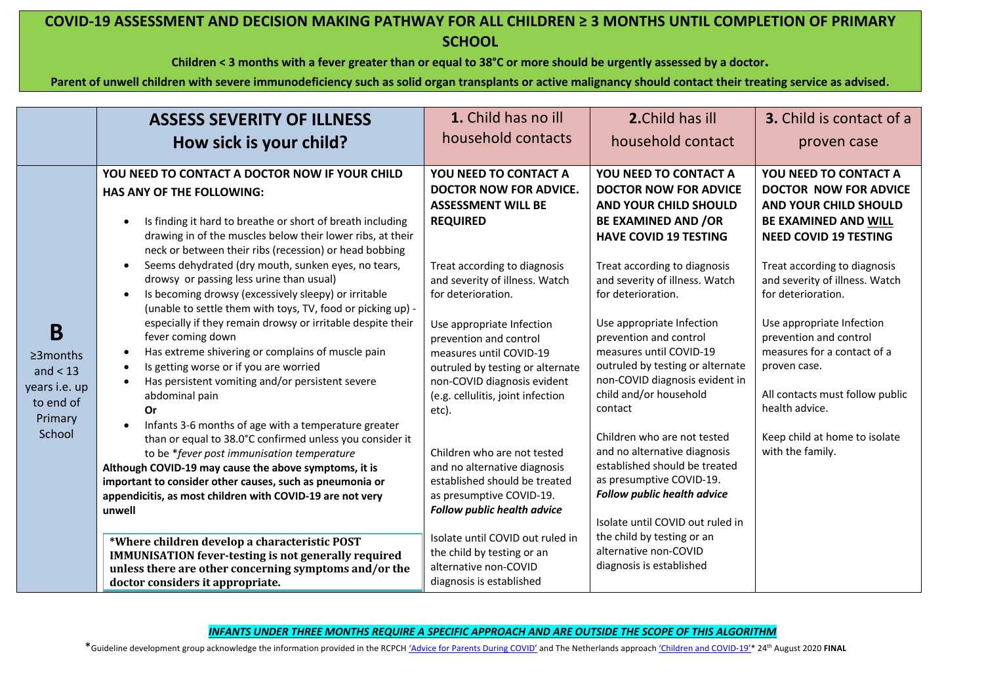**Children < 3 months with a fever greater than or equal to 38°C or more should be urgently assessed by a doctor.**

**Parent of unwell children with severe immunodeficiency such as solid organ transplants or active malignancy should contact their treating service as advised**.

|                                                                                       | <b>ASSESS SEVERITY OF ILLNESS</b><br>How sick is your child?                                                                                                                                                                                                                                                                                                                                                                                                                                                                                                                                                                                                                                                                                                                                                                                                                                                                                                                                                                                                                                                                                                                                                                                             | 1. Child has no ill<br>household contacts                                                                                                                                                                                                                                                                                                                                                                                                                                                                                                                                                               | 2. Child has ill<br>household contact                                                                                                                                                                                                                                                                                                                                                                                                                                                                                                                                                                                                                                        | <b>3.</b> Child is contact of a<br>proven case                                                                                                                                                                                                                                                                                                                                                                                                               |
|---------------------------------------------------------------------------------------|----------------------------------------------------------------------------------------------------------------------------------------------------------------------------------------------------------------------------------------------------------------------------------------------------------------------------------------------------------------------------------------------------------------------------------------------------------------------------------------------------------------------------------------------------------------------------------------------------------------------------------------------------------------------------------------------------------------------------------------------------------------------------------------------------------------------------------------------------------------------------------------------------------------------------------------------------------------------------------------------------------------------------------------------------------------------------------------------------------------------------------------------------------------------------------------------------------------------------------------------------------|---------------------------------------------------------------------------------------------------------------------------------------------------------------------------------------------------------------------------------------------------------------------------------------------------------------------------------------------------------------------------------------------------------------------------------------------------------------------------------------------------------------------------------------------------------------------------------------------------------|------------------------------------------------------------------------------------------------------------------------------------------------------------------------------------------------------------------------------------------------------------------------------------------------------------------------------------------------------------------------------------------------------------------------------------------------------------------------------------------------------------------------------------------------------------------------------------------------------------------------------------------------------------------------------|--------------------------------------------------------------------------------------------------------------------------------------------------------------------------------------------------------------------------------------------------------------------------------------------------------------------------------------------------------------------------------------------------------------------------------------------------------------|
| B<br>$\geq$ 3 months<br>and $<$ 13<br>years i.e. up<br>to end of<br>Primary<br>School | YOU NEED TO CONTACT A DOCTOR NOW IF YOUR CHILD<br><b>HAS ANY OF THE FOLLOWING:</b><br>Is finding it hard to breathe or short of breath including<br>$\bullet$<br>drawing in of the muscles below their lower ribs, at their<br>neck or between their ribs (recession) or head bobbing<br>Seems dehydrated (dry mouth, sunken eyes, no tears,<br>drowsy or passing less urine than usual)<br>Is becoming drowsy (excessively sleepy) or irritable<br>$\bullet$<br>(unable to settle them with toys, TV, food or picking up) -<br>especially if they remain drowsy or irritable despite their<br>fever coming down<br>Has extreme shivering or complains of muscle pain<br>$\bullet$<br>Is getting worse or if you are worried<br>$\bullet$<br>Has persistent vomiting and/or persistent severe<br>$\bullet$<br>abdominal pain<br><b>Or</b><br>Infants 3-6 months of age with a temperature greater<br>than or equal to 38.0°C confirmed unless you consider it<br>to be *fever post immunisation temperature<br>Although COVID-19 may cause the above symptoms, it is<br>important to consider other causes, such as pneumonia or<br>appendicitis, as most children with COVID-19 are not very<br>unwell<br>*Where children develop a characteristic POST | YOU NEED TO CONTACT A<br><b>DOCTOR NOW FOR ADVICE.</b><br><b>ASSESSMENT WILL BE</b><br><b>REQUIRED</b><br>Treat according to diagnosis<br>and severity of illness. Watch<br>for deterioration.<br>Use appropriate Infection<br>prevention and control<br>measures until COVID-19<br>outruled by testing or alternate<br>non-COVID diagnosis evident<br>(e.g. cellulitis, joint infection<br>etc).<br>Children who are not tested<br>and no alternative diagnosis<br>established should be treated<br>as presumptive COVID-19.<br><b>Follow public health advice</b><br>Isolate until COVID out ruled in | YOU NEED TO CONTACT A<br><b>DOCTOR NOW FOR ADVICE</b><br><b>AND YOUR CHILD SHOULD</b><br><b>BE EXAMINED AND /OR</b><br><b>HAVE COVID 19 TESTING</b><br>Treat according to diagnosis<br>and severity of illness. Watch<br>for deterioration.<br>Use appropriate Infection<br>prevention and control<br>measures until COVID-19<br>outruled by testing or alternate<br>non-COVID diagnosis evident in<br>child and/or household<br>contact<br>Children who are not tested<br>and no alternative diagnosis<br>established should be treated<br>as presumptive COVID-19.<br><b>Follow public health advice</b><br>Isolate until COVID out ruled in<br>the child by testing or an | <b>YOU NEED TO CONTACT A</b><br><b>DOCTOR NOW FOR ADVICE</b><br><b>AND YOUR CHILD SHOULD</b><br>BE EXAMINED AND WILL<br><b>NEED COVID 19 TESTING</b><br>Treat according to diagnosis<br>and severity of illness. Watch<br>for deterioration.<br>Use appropriate Infection<br>prevention and control<br>measures for a contact of a<br>proven case.<br>All contacts must follow public<br>health advice.<br>Keep child at home to isolate<br>with the family. |
|                                                                                       | <b>IMMUNISATION fever-testing is not generally required</b><br>unless there are other concerning symptoms and/or the<br>doctor considers it appropriate.                                                                                                                                                                                                                                                                                                                                                                                                                                                                                                                                                                                                                                                                                                                                                                                                                                                                                                                                                                                                                                                                                                 | the child by testing or an<br>alternative non-COVID<br>diagnosis is established                                                                                                                                                                                                                                                                                                                                                                                                                                                                                                                         | alternative non-COVID<br>diagnosis is established                                                                                                                                                                                                                                                                                                                                                                                                                                                                                                                                                                                                                            |                                                                                                                                                                                                                                                                                                                                                                                                                                                              |

*INFANTS UNDER THREE MONTHS REQUIRE A SPECIFIC APPROACH AND ARE OUTSIDE THE SCOPE OF THIS ALGORITHM*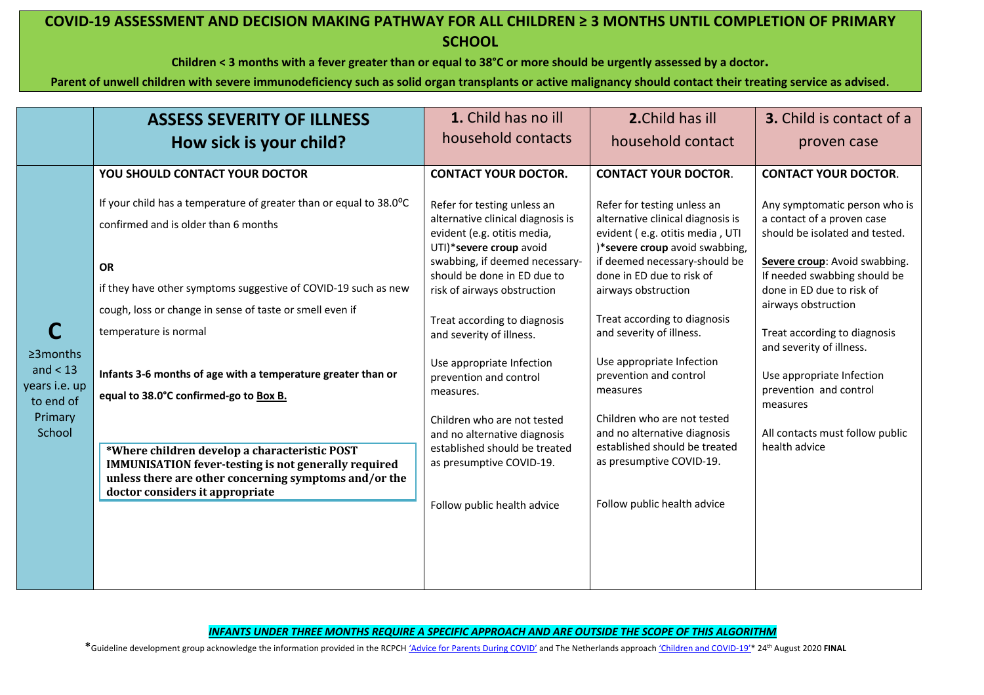**Children < 3 months with a fever greater than or equal to 38°C or more should be urgently assessed by a doctor.**

**Parent of unwell children with severe immunodeficiency such as solid organ transplants or active malignancy should contact their treating service as advised**.

|                                                                                  | <b>ASSESS SEVERITY OF ILLNESS</b>                                                                                                                                                                                                                                                                                                                                                                                                                                                                                                                                                                                                      | 1. Child has no ill                                                                                                                                                                                                                                                                                                                                                                                                                                                                                                                                  | 2. Child has ill                                                                                                                                                                                                                                                                                                                                                                                                                                                                                                                                    | <b>3.</b> Child is contact of a                                                                                                                                                                                                                                                                                                                                                                                                      |
|----------------------------------------------------------------------------------|----------------------------------------------------------------------------------------------------------------------------------------------------------------------------------------------------------------------------------------------------------------------------------------------------------------------------------------------------------------------------------------------------------------------------------------------------------------------------------------------------------------------------------------------------------------------------------------------------------------------------------------|------------------------------------------------------------------------------------------------------------------------------------------------------------------------------------------------------------------------------------------------------------------------------------------------------------------------------------------------------------------------------------------------------------------------------------------------------------------------------------------------------------------------------------------------------|-----------------------------------------------------------------------------------------------------------------------------------------------------------------------------------------------------------------------------------------------------------------------------------------------------------------------------------------------------------------------------------------------------------------------------------------------------------------------------------------------------------------------------------------------------|--------------------------------------------------------------------------------------------------------------------------------------------------------------------------------------------------------------------------------------------------------------------------------------------------------------------------------------------------------------------------------------------------------------------------------------|
|                                                                                  | How sick is your child?                                                                                                                                                                                                                                                                                                                                                                                                                                                                                                                                                                                                                | household contacts                                                                                                                                                                                                                                                                                                                                                                                                                                                                                                                                   | household contact                                                                                                                                                                                                                                                                                                                                                                                                                                                                                                                                   | proven case                                                                                                                                                                                                                                                                                                                                                                                                                          |
| $\geq$ 3 months<br>and $<$ 13<br>years i.e. up<br>to end of<br>Primary<br>School | YOU SHOULD CONTACT YOUR DOCTOR<br>If your child has a temperature of greater than or equal to 38.0°C<br>confirmed and is older than 6 months<br><b>OR</b><br>if they have other symptoms suggestive of COVID-19 such as new<br>cough, loss or change in sense of taste or smell even if<br>temperature is normal<br>Infants 3-6 months of age with a temperature greater than or<br>equal to 38.0°C confirmed-go to Box B.<br>*Where children develop a characteristic POST<br><b>IMMUNISATION fever-testing is not generally required</b><br>unless there are other concerning symptoms and/or the<br>doctor considers it appropriate | <b>CONTACT YOUR DOCTOR.</b><br>Refer for testing unless an<br>alternative clinical diagnosis is<br>evident (e.g. otitis media,<br>UTI)*severe croup avoid<br>swabbing, if deemed necessary-<br>should be done in ED due to<br>risk of airways obstruction<br>Treat according to diagnosis<br>and severity of illness.<br>Use appropriate Infection<br>prevention and control<br>measures.<br>Children who are not tested<br>and no alternative diagnosis<br>established should be treated<br>as presumptive COVID-19.<br>Follow public health advice | <b>CONTACT YOUR DOCTOR.</b><br>Refer for testing unless an<br>alternative clinical diagnosis is<br>evident (e.g. otitis media, UTI<br>)*severe croup avoid swabbing,<br>if deemed necessary-should be<br>done in ED due to risk of<br>airways obstruction<br>Treat according to diagnosis<br>and severity of illness.<br>Use appropriate Infection<br>prevention and control<br>measures<br>Children who are not tested<br>and no alternative diagnosis<br>established should be treated<br>as presumptive COVID-19.<br>Follow public health advice | <b>CONTACT YOUR DOCTOR.</b><br>Any symptomatic person who is<br>a contact of a proven case<br>should be isolated and tested.<br>Severe croup: Avoid swabbing.<br>If needed swabbing should be<br>done in ED due to risk of<br>airways obstruction<br>Treat according to diagnosis<br>and severity of illness.<br>Use appropriate Infection<br>prevention and control<br>measures<br>All contacts must follow public<br>health advice |

*INFANTS UNDER THREE MONTHS REQUIRE A SPECIFIC APPROACH AND ARE OUTSIDE THE SCOPE OF THIS ALGORITHM*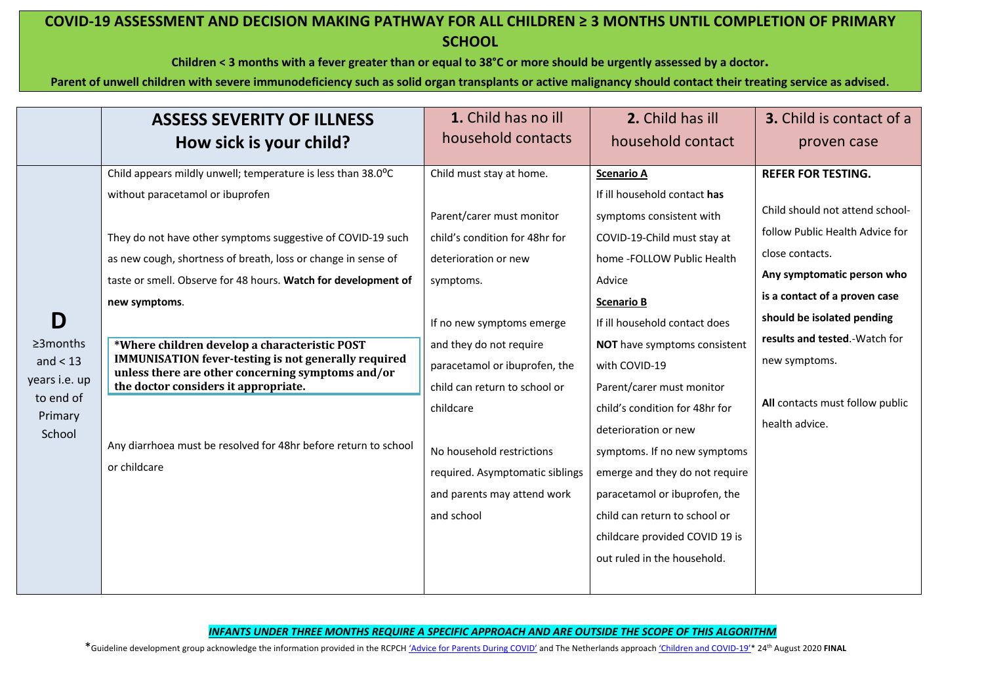**Children < 3 months with a fever greater than or equal to 38°C or more should be urgently assessed by a doctor.**

**Parent of unwell children with severe immunodeficiency such as solid organ transplants or active malignancy should contact their treating service as advised**.

|                                                                                       | <b>ASSESS SEVERITY OF ILLNESS</b><br>How sick is your child?                                                                                                                                                                                                                                                                                                                                                                                                                                                                                                                                                        | 1. Child has no ill<br>household contacts                                                                                                                                                                                                                                                                                                                                        | 2. Child has ill<br>household contact                                                                                                                                                                                                                                                                                                                                                                                                                                                                                                                   | <b>3.</b> Child is contact of a<br>proven case                                                                                                                                                                                                                                                                         |
|---------------------------------------------------------------------------------------|---------------------------------------------------------------------------------------------------------------------------------------------------------------------------------------------------------------------------------------------------------------------------------------------------------------------------------------------------------------------------------------------------------------------------------------------------------------------------------------------------------------------------------------------------------------------------------------------------------------------|----------------------------------------------------------------------------------------------------------------------------------------------------------------------------------------------------------------------------------------------------------------------------------------------------------------------------------------------------------------------------------|---------------------------------------------------------------------------------------------------------------------------------------------------------------------------------------------------------------------------------------------------------------------------------------------------------------------------------------------------------------------------------------------------------------------------------------------------------------------------------------------------------------------------------------------------------|------------------------------------------------------------------------------------------------------------------------------------------------------------------------------------------------------------------------------------------------------------------------------------------------------------------------|
| D<br>$\geq$ 3 months<br>and $<$ 13<br>years i.e. up<br>to end of<br>Primary<br>School | Child appears mildly unwell; temperature is less than 38.0°C<br>without paracetamol or ibuprofen<br>They do not have other symptoms suggestive of COVID-19 such<br>as new cough, shortness of breath, loss or change in sense of<br>taste or smell. Observe for 48 hours. Watch for development of<br>new symptoms.<br>*Where children develop a characteristic POST<br><b>IMMUNISATION fever-testing is not generally required</b><br>unless there are other concerning symptoms and/or<br>the doctor considers it appropriate.<br>Any diarrhoea must be resolved for 48hr before return to school<br>or childcare | Child must stay at home.<br>Parent/carer must monitor<br>child's condition for 48hr for<br>deterioration or new<br>symptoms.<br>If no new symptoms emerge<br>and they do not require<br>paracetamol or ibuprofen, the<br>child can return to school or<br>childcare<br>No household restrictions<br>required. Asymptomatic siblings<br>and parents may attend work<br>and school | <b>Scenario A</b><br>If ill household contact has<br>symptoms consistent with<br>COVID-19-Child must stay at<br>home -FOLLOW Public Health<br>Advice<br><b>Scenario B</b><br>If ill household contact does<br>NOT have symptoms consistent<br>with COVID-19<br>Parent/carer must monitor<br>child's condition for 48hr for<br>deterioration or new<br>symptoms. If no new symptoms<br>emerge and they do not require<br>paracetamol or ibuprofen, the<br>child can return to school or<br>childcare provided COVID 19 is<br>out ruled in the household. | <b>REFER FOR TESTING.</b><br>Child should not attend school-<br>follow Public Health Advice for<br>close contacts.<br>Any symptomatic person who<br>is a contact of a proven case<br>should be isolated pending<br>results and tested.-Watch for<br>new symptoms.<br>All contacts must follow public<br>health advice. |
|                                                                                       |                                                                                                                                                                                                                                                                                                                                                                                                                                                                                                                                                                                                                     |                                                                                                                                                                                                                                                                                                                                                                                  |                                                                                                                                                                                                                                                                                                                                                                                                                                                                                                                                                         |                                                                                                                                                                                                                                                                                                                        |

*INFANTS UNDER THREE MONTHS REQUIRE A SPECIFIC APPROACH AND ARE OUTSIDE THE SCOPE OF THIS ALGORITHM*